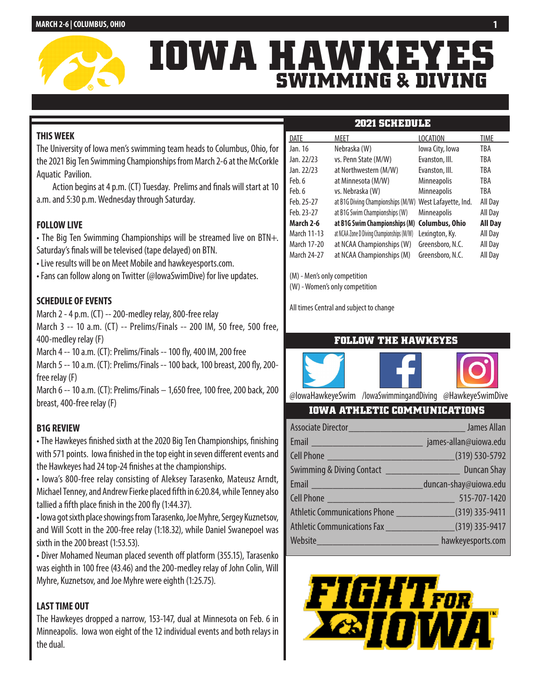

# **IOWA HAWKEYE SWIMMING & DIVING**

# **THIS WEEK**

The University of Iowa men's swimming team heads to Columbus, Ohio, for the 2021 Big Ten Swimming Championships from March 2-6 at the McCorkle Aquatic Pavilion.

Action begins at 4 p.m. (CT) Tuesday. Prelims and finals will start at 10 a.m. and 5:30 p.m. Wednesday through Saturday.

# **FOLLOW LIVE**

• The Big Ten Swimming Championships will be streamed live on BTN+. Saturday's finals will be televised (tape delayed) on BTN.

- Live results will be on Meet Mobile and hawkeyesports.com.
- Fans can follow along on Twitter (@IowaSwimDive) for live updates.

# **SCHEDULE OF EVENTS**

March 2 - 4 p.m. (CT) -- 200-medley relay, 800-free relay

March 3 -- 10 a.m. (CT) -- Prelims/Finals -- 200 IM, 50 free, 500 free, 400-medley relay (F)

March 4 -- 10 a.m. (CT): Prelims/Finals -- 100 fly, 400 IM, 200 free

March 5 -- 10 a.m. (CT): Prelims/Finals -- 100 back, 100 breast, 200 fly, 200 free relay (F)

March 6 -- 10 a.m. (CT): Prelims/Finals – 1,650 free, 100 free, 200 back, 200 breast, 400-free relay (F)

# **B1G REVIEW**

• The Hawkeyes finished sixth at the 2020 Big Ten Championships, finishing with 571 points. Iowa finished in the top eight in seven different events and the Hawkeyes had 24 top-24 finishes at the championships.

• Iowa's 800-free relay consisting of Aleksey Tarasenko, Mateusz Arndt, Michael Tenney, and Andrew Fierke placed fifth in 6:20.84, while Tenney also tallied a fifth place finish in the 200 fly (1:44.37).

• Iowa got sixth place showings from Tarasenko, Joe Myhre, Sergey Kuznetsov, and Will Scott in the 200-free relay (1:18.32), while Daniel Swanepoel was sixth in the 200 breast (1:53.53).

• Diver Mohamed Neuman placed seventh off platform (355.15), Tarasenko was eighth in 100 free (43.46) and the 200-medley relay of John Colin, Will Myhre, Kuznetsov, and Joe Myhre were eighth (1:25.75).

# **LAST TIME OUT**

The Hawkeyes dropped a narrow, 153-147, dual at Minnesota on Feb. 6 in Minneapolis. Iowa won eight of the 12 individual events and both relays in the dual.

| DATE        | MEET                                      | <b>LOCATION</b>       | <b>TIME</b>    |
|-------------|-------------------------------------------|-----------------------|----------------|
| Jan. 16     | Nebraska (W)                              | lowa City, Iowa       | TBA            |
| Jan. 22/23  | vs. Penn State (M/W)                      | Evanston, Ill.        | TBA            |
| Jan. 22/23  | at Northwestern (M/W)                     | Evanston, Ill.        | TBA            |
| Feb. 6      | at Minnesota (M/W)                        | <b>Minneapolis</b>    | TBA            |
| Feb. 6      | vs. Nebraska (W)                          | <b>Minneapolis</b>    | TBA            |
| Feb. 25-27  | at B1G Diving Championships (M/W)         | West Lafayette, Ind.  | All Day        |
| Feb. 23-27  | at B1G Swim Championships (W)             | <b>Minneapolis</b>    | All Day        |
| March 2-6   | at B1G Swim Championships (M)             | <b>Columbus, Ohio</b> | <b>All Day</b> |
| March 11-13 | at NCAA Zone D Diving Championships (M/W) | Lexington, Ky.        | All Day        |
| March 17-20 | at NCAA Championships (W)                 | Greensboro, N.C.      | All Day        |
| March 24-27 | at NCAA Championships (M)                 | Greensboro, N.C.      | All Day        |

**2021 SCHEDULE**

(M) - Men's only competition

(W) - Women's only competition

All times Central and subject to change

# **FOLLOW THE HAWKEYES**



@IowaHawkeyeSwim /IowaSwimmingandDiving @HawkeyeSwimDive

# **IOWA ATHLETIC COMMUNICATIONS**

| Cell Phone (319) 530-5792                                                                                                                                                                                                      |                   |
|--------------------------------------------------------------------------------------------------------------------------------------------------------------------------------------------------------------------------------|-------------------|
|                                                                                                                                                                                                                                |                   |
|                                                                                                                                                                                                                                |                   |
| Cell Phone 2008 2012 2020 2020 2020 2021 2020 2021 2020 2021 2020 2021 2021 2021 2021 2021 2021 2021 2021 2021 2021 2021 2021 2021 2021 2021 2021 2022 2021 2021 2021 2022 2021 2021 2021 2021 2022 2022 2022 2022 2022 2022 2 |                   |
| Athletic Communications Phone ______________________(319) 335-9411                                                                                                                                                             |                   |
|                                                                                                                                                                                                                                |                   |
| Website                                                                                                                                                                                                                        | hawkeyesports.com |

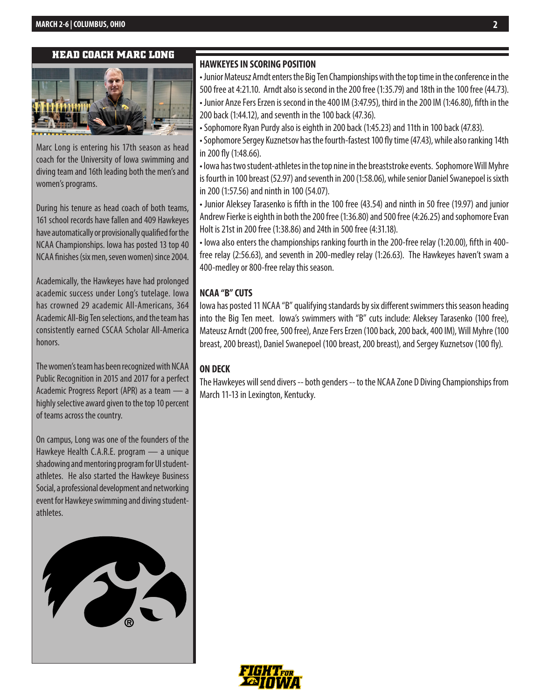#### **HEAD COACH MARC LONG**



Marc Long is entering his 17th season as head coach for the University of Iowa swimming and diving team and 16th leading both the men's and women's programs.

During his tenure as head coach of both teams, 161 school records have fallen and 409 Hawkeyes have automatically or provisionally qualified for the NCAA Championships. Iowa has posted 13 top 40 NCAA finishes (six men, seven women) since 2004.

Academically, the Hawkeyes have had prolonged academic success under Long's tutelage. Iowa has crowned 29 academic All-Americans, 364 Academic All-Big Ten selections, and the team has consistently earned CSCAA Scholar All-America honors.

The women's team has been recognized with NCAA Public Recognition in 2015 and 2017 for a perfect Academic Progress Report (APR) as a team — a highly selective award given to the top 10 percent of teams across the country.

On campus, Long was one of the founders of the Hawkeye Health C.A.R.E. program — a unique shadowing and mentoring program for UI studentathletes. He also started the Hawkeye Business Social, a professional development and networking event for Hawkeye swimming and diving studentathletes.



#### **HAWKEYES IN SCORING POSITION**

• Junior Mateusz Arndt enters the Big Ten Championships with the top time in the conference in the 500 free at 4:21.10. Arndt also is second in the 200 free (1:35.79) and 18th in the 100 free (44.73). • Junior Anze Fers Erzen is second in the 400 IM (3:47.95), third in the 200 IM (1:46.80), fifth in the 200 back (1:44.12), and seventh in the 100 back (47.36).

• Sophomore Ryan Purdy also is eighth in 200 back (1:45.23) and 11th in 100 back (47.83).

• Sophomore Sergey Kuznetsov has the fourth-fastest 100 fly time (47.43), while also ranking 14th in 200 fly (1:48.66).

• Iowa has two student-athletes in the top nine in the breaststroke events. Sophomore Will Myhre is fourth in 100 breast (52.97) and seventh in 200 (1:58.06), while senior Daniel Swanepoel is sixth in 200 (1:57.56) and ninth in 100 (54.07).

• Junior Aleksey Tarasenko is fifth in the 100 free (43.54) and ninth in 50 free (19.97) and junior Andrew Fierke is eighth in both the 200 free (1:36.80) and 500 free (4:26.25) and sophomore Evan Holt is 21st in 200 free (1:38.86) and 24th in 500 free (4:31.18).

• Iowa also enters the championships ranking fourth in the 200-free relay (1:20.00), fifth in 400 free relay (2:56.63), and seventh in 200-medley relay (1:26.63). The Hawkeyes haven't swam a 400-medley or 800-free relay this season.

#### **NCAA "B" CUTS**

Iowa has posted 11 NCAA "B" qualifying standards by six different swimmers this season heading into the Big Ten meet. Iowa's swimmers with "B" cuts include: Aleksey Tarasenko (100 free), Mateusz Arndt (200 free, 500 free), Anze Fers Erzen (100 back, 200 back, 400 IM), Will Myhre (100 breast, 200 breast), Daniel Swanepoel (100 breast, 200 breast), and Sergey Kuznetsov (100 fly).

#### **ON DECK**

The Hawkeyes will send divers -- both genders -- to the NCAA Zone D Diving Championships from March 11-13 in Lexington, Kentucky.

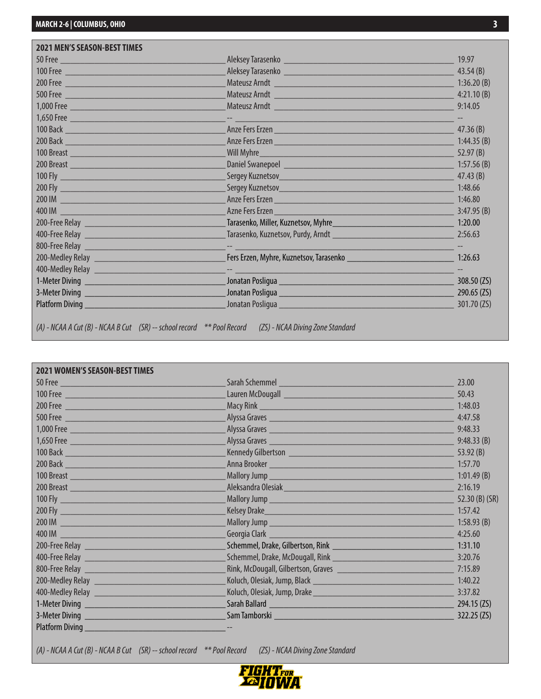| <b>2021 MEN'S SEASON-BEST TIMES</b>                                                                                                                                                                                                  |                                                                                                                                                                                                                                      |             |
|--------------------------------------------------------------------------------------------------------------------------------------------------------------------------------------------------------------------------------------|--------------------------------------------------------------------------------------------------------------------------------------------------------------------------------------------------------------------------------------|-------------|
| 50 Free                                                                                                                                                                                                                              |                                                                                                                                                                                                                                      | 19.97       |
| 100 Free                                                                                                                                                                                                                             | Aleksey Tarasenko <b>kata karata da kasasan da kasasa da kasasar da kasasar da kasasar da kasasar da kasasar da k</b>                                                                                                                | 43.54(B)    |
| 200 Free 200 Free 200 Free 200 Free 200 Free 200 Free 200 Free 200 Free 200 Free 200 Free 200 Free 200 Free 20                                                                                                                       | Mateusz Arndt <b>Mateur Arnst Mateur and Arnst Arnst Arnst Arnst Arnst Arnst Arnst Arnst Arnst Arnst Arnst Arnst Arnst Arnst Arnst Arnst Arnst Arnst Arnst Arnst Arnst Arnst Arnst Arnst Arnst Arnst Arnst Arnst Arnst Arnst Arn</b> | 1:36.20(B)  |
|                                                                                                                                                                                                                                      |                                                                                                                                                                                                                                      |             |
|                                                                                                                                                                                                                                      | Mateusz Arndt <b>Mateur Arns and Arns and Arns and Arns and Arns and Arns and Arns and Arns and Arns and Arns and Arns and Arns and Arns and Arns and Arns and Arns and Arns and Arns and Arns and Arns and Arns and Arns and Ar</b> | 9:14.05     |
|                                                                                                                                                                                                                                      |                                                                                                                                                                                                                                      |             |
|                                                                                                                                                                                                                                      | Anze Fers Erzen <b>Maria Barriston (h. 1878)</b>                                                                                                                                                                                     | 47.36 $(B)$ |
| 200 Back <b>Contract Contract Contract Contract Contract Contract Contract Contract Contract Contract Contract Contract Contract Contract Contract Contract Contract Contract Contract Contract Contract Contract Contract Contr</b> | Anze Fers Erzen                                                                                                                                                                                                                      | 1:44.35(B)  |
|                                                                                                                                                                                                                                      | Will Myhre <b>Market and Community</b> and Community and Community and Community and Community and Community and Community                                                                                                           | 52.97(B)    |
| 200 Breast 200 Breast 200 Breast 200 Breast 200 Breast 200 Breast 200 Breast 200 Breast 200 Breast 200 Breast                                                                                                                        |                                                                                                                                                                                                                                      | 1:57.56(B)  |
|                                                                                                                                                                                                                                      |                                                                                                                                                                                                                                      | 47.43 $(B)$ |
|                                                                                                                                                                                                                                      |                                                                                                                                                                                                                                      | 1:48.66     |
| 200 IM                                                                                                                                                                                                                               | Anze Fers Erzen <b>Maria Barriston (h. 1878).</b>                                                                                                                                                                                    | 1:46.80     |
|                                                                                                                                                                                                                                      | Azne Fers Erzen and all and the state<br><u> 1989 - Johann Barn, mars ann an Catharin ann an t-</u>                                                                                                                                  | 3:47.95(B)  |
|                                                                                                                                                                                                                                      |                                                                                                                                                                                                                                      | 1:20.00     |
| <b>400-Free Relay and Security and Security And Security and Security and Security and Security and Security and S</b>                                                                                                               |                                                                                                                                                                                                                                      | 2:56.63     |
|                                                                                                                                                                                                                                      |                                                                                                                                                                                                                                      |             |
|                                                                                                                                                                                                                                      |                                                                                                                                                                                                                                      | 1:26.63     |
|                                                                                                                                                                                                                                      |                                                                                                                                                                                                                                      |             |
|                                                                                                                                                                                                                                      | Jonatan Posligua                                                                                                                                                                                                                     | 308.50 (ZS) |
| 3-Meter Diving <u>___________________________________</u>                                                                                                                                                                            | Jonatan Posliqua <b>di Provincia all'anno 2012</b> alla sua provincia all'università di San Maria del Barca di San M                                                                                                                 | 290.65 (ZS) |
| Platform Diving                                                                                                                                                                                                                      |                                                                                                                                                                                                                                      | 301.70 (ZS) |

*(A) - NCAA A Cut (B) - NCAA B Cut (SR) -- school record \*\* Pool Record (ZS) - NCAA Diving Zone Standard*

| <b>2021 WOMEN'S SEASON-BEST TIMES</b>                                                                                   |                                                                                                                                                                                                                                      |                  |
|-------------------------------------------------------------------------------------------------------------------------|--------------------------------------------------------------------------------------------------------------------------------------------------------------------------------------------------------------------------------------|------------------|
| 50 Free                                                                                                                 | Sarah Schemmel <b>Exercise Schemel Exercise Schemel And Schemmel</b>                                                                                                                                                                 | 23.00            |
|                                                                                                                         | Lauren McDougall <b>contract and the Contract of Contract Contract and Contract Contract Contract Contract Contract Contract Contract Contract Contract Contract Contract Contract Contract Contract Contract Contract Contract </b> | 50.43            |
|                                                                                                                         |                                                                                                                                                                                                                                      | 1:48.03          |
| 500 Free 2008 - 2008 - 2009 - 2009 - 2010 - 2010 - 2010 - 2010 - 2010 - 2010 - 2010 - 2010 - 2010 - 2010 - 20           |                                                                                                                                                                                                                                      | 4:47.58          |
|                                                                                                                         | Alyssa Graves <u>experience and a series of the series of the series of the series of the series of the series of the series of the series of the series of the series of the series of the series of the series of the series o</u> | 9:48.33          |
|                                                                                                                         |                                                                                                                                                                                                                                      | 9:48.33(B)       |
|                                                                                                                         |                                                                                                                                                                                                                                      | 53.92(B)         |
|                                                                                                                         |                                                                                                                                                                                                                                      | 1:57.70          |
| 100 Breast 2008 - 2008 - 2019 - 2019 - 2019 - 2019 - 2019 - 2019 - 2019 - 2019 - 2019 - 2019 - 2019 - 2019 - 2          |                                                                                                                                                                                                                                      | 1:01.49(B)       |
|                                                                                                                         | Aleksandra Olesiak <b>Management alama kepada tahun 1980</b> menjadi ke                                                                                                                                                              | 2:16.19          |
|                                                                                                                         |                                                                                                                                                                                                                                      | 52.30 $(B)$ (SR) |
| 200 Fly 200 Fly 200 Fly 200 Fly 200 Fly 200 Fly 200 Fly 200 Fly 200 Fly 200 Fly 200 Fly 200 Fly 200 Fly 200 Fl          |                                                                                                                                                                                                                                      | 1:57.42          |
| 200 IM                                                                                                                  |                                                                                                                                                                                                                                      | 1:58.93(B)       |
|                                                                                                                         |                                                                                                                                                                                                                                      | 4:25.60          |
| 200-Free Relay 200-Free Relay                                                                                           |                                                                                                                                                                                                                                      | 1:31.10          |
|                                                                                                                         |                                                                                                                                                                                                                                      | 3:20.76          |
| <b>800-Free Relay and Social Activities</b> and the contract of the contract of the contract of the contract of the con |                                                                                                                                                                                                                                      | 7:15.89          |
|                                                                                                                         |                                                                                                                                                                                                                                      | 1:40.22          |
|                                                                                                                         | Koluch, Olesiak, Jump, Drake                                                                                                                                                                                                         | 3:37.82          |
| 1-Meter Diving _________________________________                                                                        | Sarah Ballard <u>New York Ballard Sarah Ballard New York Ballard</u>                                                                                                                                                                 | 294.15(ZS)       |
|                                                                                                                         | Sam Tamborski komunisti i svjetski komunisti komunisti komunisti komunisti komunisti komunisti komunisti komun                                                                                                                       | 322.25(25)       |
| <b>Platform Diving</b>                                                                                                  |                                                                                                                                                                                                                                      |                  |

*(A) - NCAA A Cut (B) - NCAA B Cut (SR) -- school record \*\* Pool Record (ZS) - NCAA Diving Zone Standard*